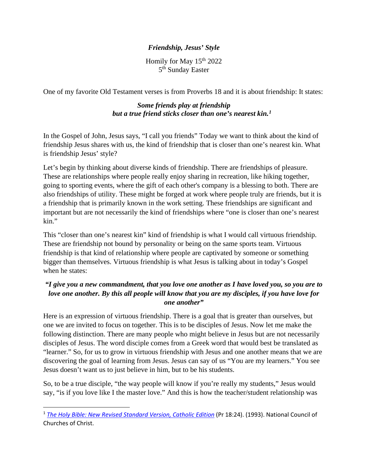## *Friendship, Jesus' Style*

Homily for May  $15<sup>th</sup> 2022$ 5<sup>th</sup> Sunday Easter

One of my favorite Old Testament verses is from Proverbs 18 and it is about friendship: It states:

## *Some friends play at friendship but a true friend sticks closer than one's nearest kin.[1](#page-0-0)*

In the Gospel of John, Jesus says, "I call you friends" Today we want to think about the kind of friendship Jesus shares with us, the kind of friendship that is closer than one's nearest kin. What is friendship Jesus' style?

Let's begin by thinking about diverse kinds of friendship. There are friendships of pleasure. These are relationships where people really enjoy sharing in recreation, like hiking together, going to sporting events, where the gift of each other's company is a blessing to both. There are also friendships of utility. These might be forged at work where people truly are friends, but it is a friendship that is primarily known in the work setting. These friendships are significant and important but are not necessarily the kind of friendships where "one is closer than one's nearest kin."

This "closer than one's nearest kin" kind of friendship is what I would call virtuous friendship. These are friendship not bound by personality or being on the same sports team. Virtuous friendship is that kind of relationship where people are captivated by someone or something bigger than themselves. Virtuous friendship is what Jesus is talking about in today's Gospel when he states:

## *"I give you a new commandment, that you love one another as I have loved you, so you are to love one another. By this all people will know that you are my disciples, if you have love for one another"*

Here is an expression of virtuous friendship. There is a goal that is greater than ourselves, but one we are invited to focus on together. This is to be disciples of Jesus. Now let me make the following distinction. There are many people who might believe in Jesus but are not necessarily disciples of Jesus. The word disciple comes from a Greek word that would best be translated as "learner." So, for us to grow in virtuous friendship with Jesus and one another means that we are discovering the goal of learning from Jesus. Jesus can say of us "You are my learners." You see Jesus doesn't want us to just believe in him, but to be his students.

So, to be a true disciple, "the way people will know if you're really my students," Jesus would say, "is if you love like I the master love." And this is how the teacher/student relationship was

<span id="page-0-0"></span><sup>1</sup> *[The Holy Bible: New Revised Standard Version, Catholic Edition](https://ref.ly/logosres/nrsvce?ref=BibleNRSVCE.Pr18.24&off=2&ctx=h+answer+roughly.%0a24%7E+Some%EF%BB%BFc+friends+play)* (Pr 18:24). (1993). National Council of Churches of Christ.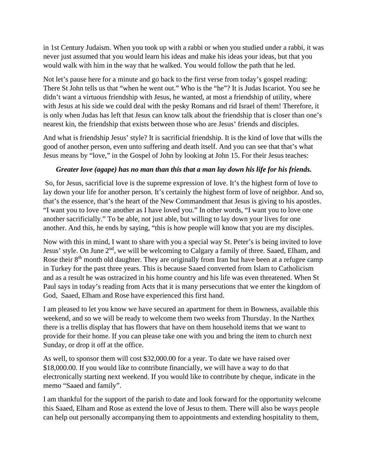in 1st Century Judaism. When you took up with a rabbi or when you studied under a rabbi, it was never just assumed that you would learn his ideas and make his ideas your ideas, but that you would walk with him in the way that he walked. You would follow the path that he led.

Not let's pause here for a minute and go back to the first verse from today's gospel reading: There St John tells us that "when he went out." Who is the "he"? It is Judas Iscariot. You see he didn't want a virtuous friendship with Jesus, he wanted, at most a friendship of utility, where with Jesus at his side we could deal with the pesky Romans and rid Israel of them! Therefore, it is only when Judas has left that Jesus can know talk about the friendship that is closer than one's nearest kin, the friendship that exists between those who are Jesus' friends and disciples.

And what is friendship Jesus' style? It is sacrificial friendship. It is the kind of love that wills the good of another person, even unto suffering and death itself. And you can see that that's what Jesus means by "love," in the Gospel of John by looking at John 15. For their Jesus teaches:

## *Greater love (agape) has no man than this that a man lay down his life for his friends.*

So, for Jesus, sacrificial love is the supreme expression of love. It's the highest form of love to lay down your life for another person. It's certainly the highest form of love of neighbor. And so, that's the essence, that's the heart of the New Commandment that Jesus is giving to his apostles. "I want you to love one another as I have loved you." In other words, "I want you to love one another sacrificially." To be able, not just able, but willing to lay down your lives for one another. And this, he ends by saying, "this is how people will know that you are my disciples.

Now with this in mind, I want to share with you a special way St. Peter's is being invited to love Jesus' style. On June 2<sup>nd</sup>, we will be welcoming to Calgary a family of three. Saaed, Elham, and Rose their  $8<sup>th</sup>$  month old daughter. They are originally from Iran but have been at a refugee camp in Turkey for the past three years. This is because Saaed converted from Islam to Catholicism and as a result he was ostracized in his home country and his life was even threatened. When St Paul says in today's reading from Acts that it is many persecutions that we enter the kingdom of God, Saaed, Elham and Rose have experienced this first hand.

I am pleased to let you know we have secured an apartment for them in Bowness, available this weekend, and so we will be ready to welcome them two weeks from Thursday. In the Narthex there is a trellis display that has flowers that have on them household items that we want to provide for their home. If you can please take one with you and bring the item to church next Sunday, or drop it off at the office.

As well, to sponsor them will cost \$32,000.00 for a year. To date we have raised over \$18,000.00. If you would like to contribute financially, we will have a way to do that electronically starting next weekend. If you would like to contribute by cheque, indicate in the memo "Saaed and family".

I am thankful for the support of the parish to date and look forward for the opportunity welcome this Saaed, Elham and Rose as extend the love of Jesus to them. There will also be ways people can help out personally accompanying them to appointments and extending hospitality to them,